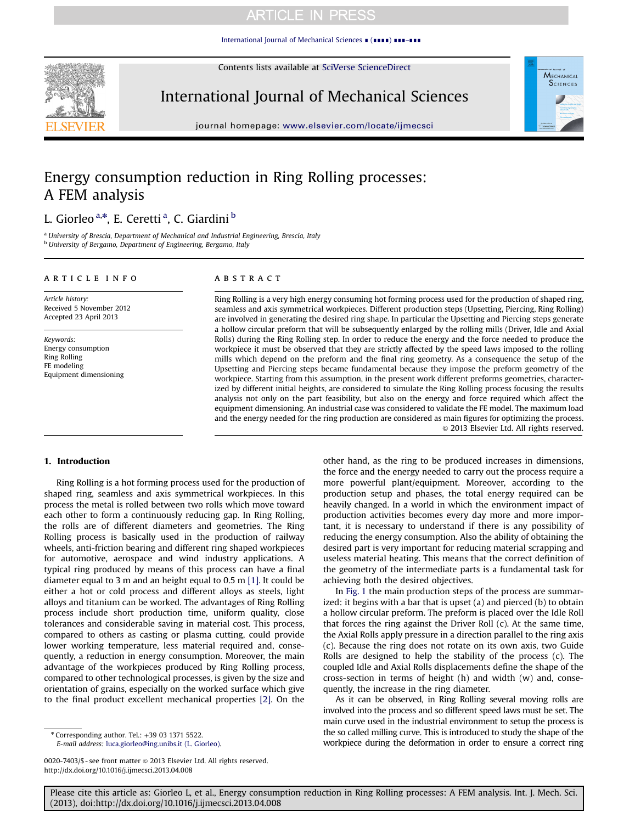### **ARTICLE IN PRESS**

[International Journal of Mechanical Sciences](http://dx.doi.org/10.1016/j.ijmecsci.2013.04.008) ∎ (∎∎∎∎) ∎∎∎–∎∎∎

Contents lists available at [SciVerse ScienceDirect](www.elsevier.com/locate/ijmecsci)



International Journal of Mechanical Sciences



journal homepage: <www.elsevier.com/locate/ijmecsci>

## Energy consumption reduction in Ring Rolling processes: A FEM analysis

### L. Giorleo<sup>a,\*</sup>, E. Ceretti<sup>a</sup>, C. Giardini <sup>b</sup>

<sup>a</sup> University of Brescia, Department of Mechanical and Industrial Engineering, Brescia, Italy **b University of Bergamo, Department of Engineering, Bergamo, Italy** 

#### article info

Article history: Received 5 November 2012 Accepted 23 April 2013

Keywords: Energy consumption Ring Rolling FE modeling Equipment dimensioning

#### ABSTRACT

Ring Rolling is a very high energy consuming hot forming process used for the production of shaped ring, seamless and axis symmetrical workpieces. Different production steps (Upsetting, Piercing, Ring Rolling) are involved in generating the desired ring shape. In particular the Upsetting and Piercing steps generate a hollow circular preform that will be subsequently enlarged by the rolling mills (Driver, Idle and Axial Rolls) during the Ring Rolling step. In order to reduce the energy and the force needed to produce the workpiece it must be observed that they are strictly affected by the speed laws imposed to the rolling mills which depend on the preform and the final ring geometry. As a consequence the setup of the Upsetting and Piercing steps became fundamental because they impose the preform geometry of the workpiece. Starting from this assumption, in the present work different preforms geometries, characterized by different initial heights, are considered to simulate the Ring Rolling process focusing the results analysis not only on the part feasibility, but also on the energy and force required which affect the equipment dimensioning. An industrial case was considered to validate the FE model. The maximum load and the energy needed for the ring production are considered as main figures for optimizing the process.  $\odot$  2013 Elsevier Ltd. All rights reserved.

#### 1. Introduction

Ring Rolling is a hot forming process used for the production of shaped ring, seamless and axis symmetrical workpieces. In this process the metal is rolled between two rolls which move toward each other to form a continuously reducing gap. In Ring Rolling, the rolls are of different diameters and geometries. The Ring Rolling process is basically used in the production of railway wheels, anti-friction bearing and different ring shaped workpieces for automotive, aerospace and wind industry applications. A typical ring produced by means of this process can have a final diameter equal to 3 m and an height equal to 0.5 m [\[1\]](#page--1-0). It could be either a hot or cold process and different alloys as steels, light alloys and titanium can be worked. The advantages of Ring Rolling process include short production time, uniform quality, close tolerances and considerable saving in material cost. This process, compared to others as casting or plasma cutting, could provide lower working temperature, less material required and, consequently, a reduction in energy consumption. Moreover, the main advantage of the workpieces produced by Ring Rolling process, compared to other technological processes, is given by the size and orientation of grains, especially on the worked surface which give to the final product excellent mechanical properties [\[2\]](#page--1-0). On the

0020-7403/\$ - see front matter @ 2013 Elsevier Ltd. All rights reserved. <http://dx.doi.org/10.1016/j.ijmecsci.2013.04.008>

other hand, as the ring to be produced increases in dimensions, the force and the energy needed to carry out the process require a more powerful plant/equipment. Moreover, according to the production setup and phases, the total energy required can be heavily changed. In a world in which the environment impact of production activities becomes every day more and more important, it is necessary to understand if there is any possibility of reducing the energy consumption. Also the ability of obtaining the desired part is very important for reducing material scrapping and useless material heating. This means that the correct definition of the geometry of the intermediate parts is a fundamental task for achieving both the desired objectives.

In [Fig. 1](#page-1-0) the main production steps of the process are summarized: it begins with a bar that is upset (a) and pierced (b) to obtain a hollow circular preform. The preform is placed over the Idle Roll that forces the ring against the Driver Roll (c). At the same time, the Axial Rolls apply pressure in a direction parallel to the ring axis (c). Because the ring does not rotate on its own axis, two Guide Rolls are designed to help the stability of the process (c). The coupled Idle and Axial Rolls displacements define the shape of the cross-section in terms of height (h) and width (w) and, consequently, the increase in the ring diameter.

As it can be observed, in Ring Rolling several moving rolls are involved into the process and so different speed laws must be set. The main curve used in the industrial environment to setup the process is the so called milling curve. This is introduced to study the shape of the workpiece during the deformation in order to ensure a correct ring

Please cite this article as: Giorleo L, et al., Energy consumption reduction in Ring Rolling processes: A FEM analysis. Int. J. Mech. Sci. (2013), doi:http://dx.doi.org/10.1016/j.ijmecsci.2013.04.008i

<sup>n</sup> Corresponding author. Tel.: +39 03 1371 5522. E-mail address: [luca.giorleo@ing.unibs.it \(L. Giorleo\).](mailto:luca.giorleo@ing.unibs.it)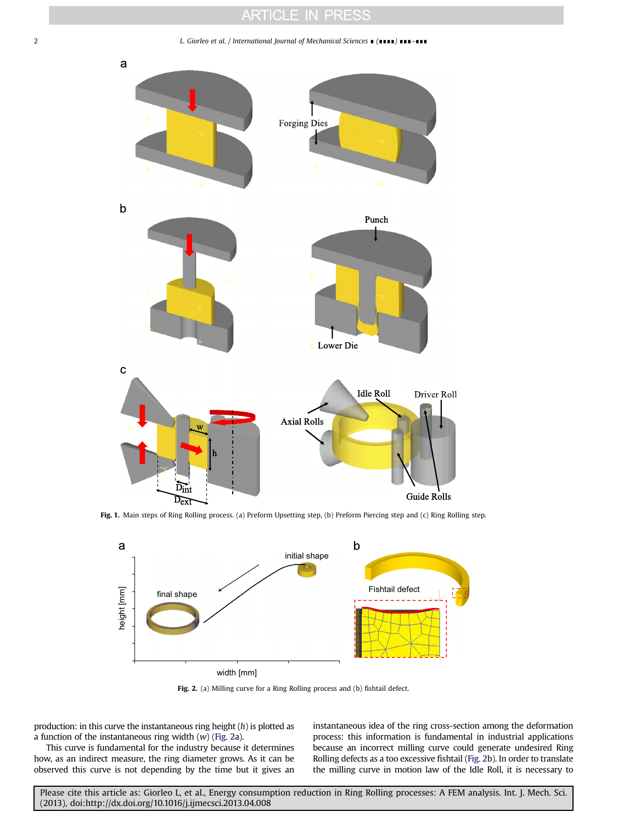### **ARTICLE IN PRESS**

<span id="page-1-0"></span>2 L. Giorleo et al. / International Journal of Mechanical Sciences ∎ (∎∎∎∎) ∎∎∎–∎∎∎



Fig. 1. Main steps of Ring Rolling process. (a) Preform Upsetting step, (b) Preform Piercing step and (c) Ring Rolling step.





production: in this curve the instantaneous ring height  $(h)$  is plotted as a function of the instantaneous ring width  $(w)$  (Fig. 2a).

This curve is fundamental for the industry because it determines how, as an indirect measure, the ring diameter grows. As it can be observed this curve is not depending by the time but it gives an instantaneous idea of the ring cross-section among the deformation process: this information is fundamental in industrial applications because an incorrect milling curve could generate undesired Ring Rolling defects as a too excessive fishtail (Fig. 2b). In order to translate the milling curve in motion law of the Idle Roll, it is necessary to

Please cite this article as: Giorleo L, et al., Energy consumption reduction in Ring Rolling processes: A FEM analysis. Int. J. Mech. Sci. (2013), doi:http://dx.doi.org/10.1016/j.ijmecsci.2013.04.008i